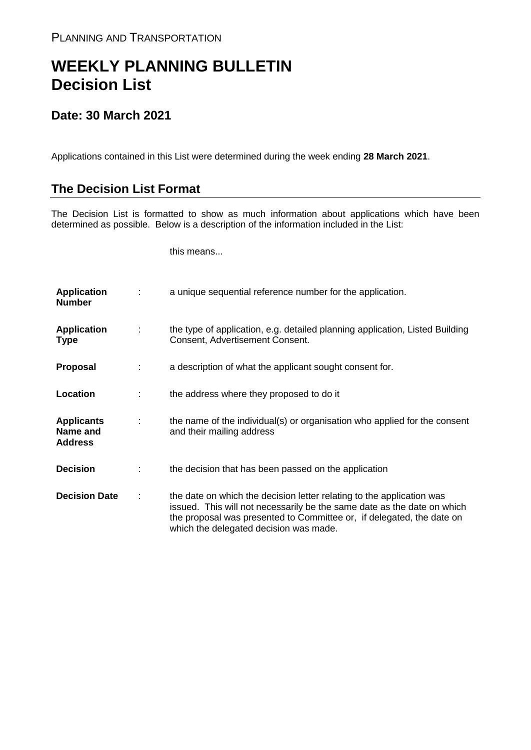## **WEEKLY PLANNING BULLETIN Decision List**

## **Date: 30 March 2021**

Applications contained in this List were determined during the week ending **28 March 2021**.

## **The Decision List Format**

The Decision List is formatted to show as much information about applications which have been determined as possible. Below is a description of the information included in the List:

this means...

| <b>Application</b><br><b>Number</b>             |   | a unique sequential reference number for the application.                                                                                                                                                                                                           |
|-------------------------------------------------|---|---------------------------------------------------------------------------------------------------------------------------------------------------------------------------------------------------------------------------------------------------------------------|
| <b>Application</b><br><b>Type</b>               | ÷ | the type of application, e.g. detailed planning application, Listed Building<br>Consent, Advertisement Consent.                                                                                                                                                     |
| Proposal                                        |   | a description of what the applicant sought consent for.                                                                                                                                                                                                             |
| Location                                        |   | the address where they proposed to do it                                                                                                                                                                                                                            |
| <b>Applicants</b><br>Name and<br><b>Address</b> | ÷ | the name of the individual(s) or organisation who applied for the consent<br>and their mailing address                                                                                                                                                              |
| <b>Decision</b>                                 |   | the decision that has been passed on the application                                                                                                                                                                                                                |
| <b>Decision Date</b>                            |   | the date on which the decision letter relating to the application was<br>issued. This will not necessarily be the same date as the date on which<br>the proposal was presented to Committee or, if delegated, the date on<br>which the delegated decision was made. |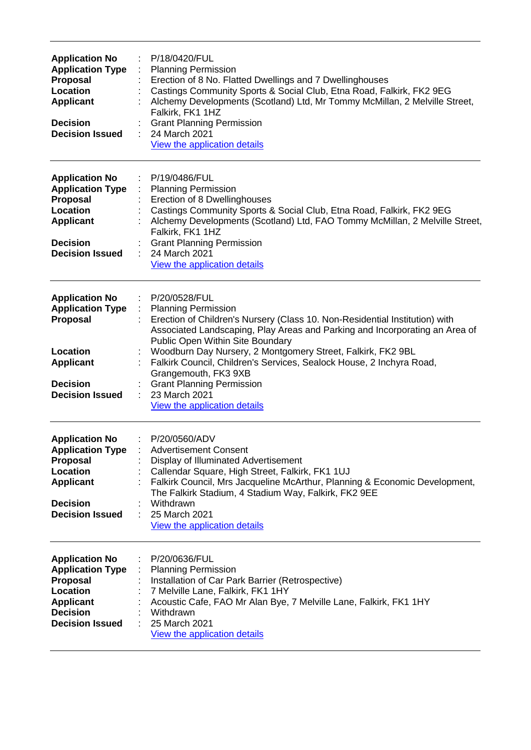| <b>Application No</b><br><b>Application Type</b><br><b>Proposal</b><br>Location<br><b>Applicant</b><br><b>Decision</b><br><b>Decision Issued</b> | P/18/0420/FUL<br><b>Planning Permission</b><br>Erection of 8 No. Flatted Dwellings and 7 Dwellinghouses<br>Castings Community Sports & Social Club, Etna Road, Falkirk, FK2 9EG<br>Alchemy Developments (Scotland) Ltd, Mr Tommy McMillan, 2 Melville Street,<br>Falkirk, FK1 1HZ<br><b>Grant Planning Permission</b><br>24 March 2021<br>View the application details                                                                                                                                   |
|--------------------------------------------------------------------------------------------------------------------------------------------------|----------------------------------------------------------------------------------------------------------------------------------------------------------------------------------------------------------------------------------------------------------------------------------------------------------------------------------------------------------------------------------------------------------------------------------------------------------------------------------------------------------|
| <b>Application No</b><br><b>Application Type</b><br><b>Proposal</b><br>Location<br><b>Applicant</b><br><b>Decision</b><br><b>Decision Issued</b> | P/19/0486/FUL<br><b>Planning Permission</b><br>Erection of 8 Dwellinghouses<br>Castings Community Sports & Social Club, Etna Road, Falkirk, FK2 9EG<br>Alchemy Developments (Scotland) Ltd, FAO Tommy McMillan, 2 Melville Street,<br>Falkirk, FK1 1HZ<br><b>Grant Planning Permission</b><br>24 March 2021<br>View the application details                                                                                                                                                              |
| <b>Application No</b><br><b>Application Type</b><br>Proposal<br>Location<br><b>Applicant</b><br><b>Decision</b><br><b>Decision Issued</b>        | P/20/0528/FUL<br><b>Planning Permission</b><br>Erection of Children's Nursery (Class 10. Non-Residential Institution) with<br>Associated Landscaping, Play Areas and Parking and Incorporating an Area of<br>Public Open Within Site Boundary<br>Woodburn Day Nursery, 2 Montgomery Street, Falkirk, FK2 9BL<br>Falkirk Council, Children's Services, Sealock House, 2 Inchyra Road,<br>Grangemouth, FK3 9XB<br><b>Grant Planning Permission</b><br>23 March 2021<br><b>View the application details</b> |
| <b>Application No</b><br><b>Application Type</b><br><b>Proposal</b><br>Location<br><b>Applicant</b><br><b>Decision</b><br><b>Decision Issued</b> | P/20/0560/ADV<br><b>Advertisement Consent</b><br>Display of Illuminated Advertisement<br>Callendar Square, High Street, Falkirk, FK1 1UJ<br>Falkirk Council, Mrs Jacqueline McArthur, Planning & Economic Development,<br>The Falkirk Stadium, 4 Stadium Way, Falkirk, FK2 9EE<br>Withdrawn<br>25 March 2021<br>÷<br>View the application details                                                                                                                                                        |
| <b>Application No</b><br><b>Application Type</b><br>Proposal<br>Location<br><b>Applicant</b><br><b>Decision</b><br><b>Decision Issued</b>        | P/20/0636/FUL<br><b>Planning Permission</b><br>Installation of Car Park Barrier (Retrospective)<br>7 Melville Lane, Falkirk, FK1 1HY<br>Acoustic Cafe, FAO Mr Alan Bye, 7 Melville Lane, Falkirk, FK1 1HY<br>Withdrawn<br>25 March 2021<br>View the application details                                                                                                                                                                                                                                  |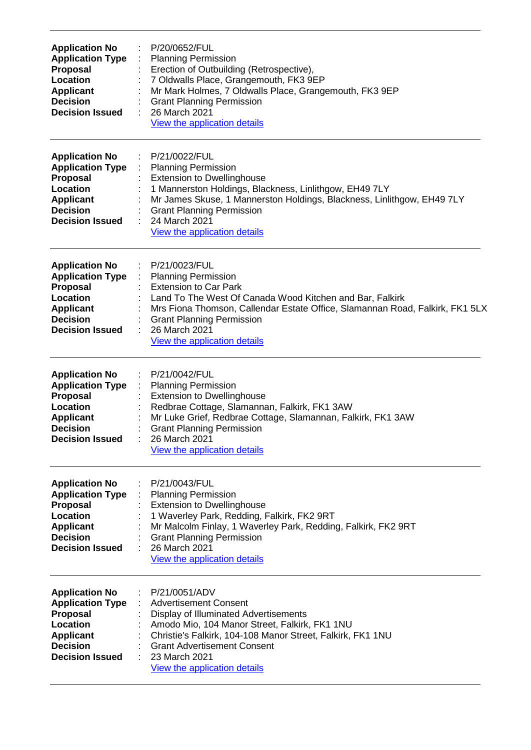| <b>Application No</b><br><b>Application Type</b><br><b>Proposal</b><br>Location<br><b>Applicant</b><br><b>Decision</b><br><b>Decision Issued</b> | P/20/0652/FUL<br><b>Planning Permission</b><br>Erection of Outbuilding (Retrospective),<br>7 Oldwalls Place, Grangemouth, FK3 9EP<br>Mr Mark Holmes, 7 Oldwalls Place, Grangemouth, FK3 9EP<br><b>Grant Planning Permission</b><br>26 March 2021<br>View the application details                             |
|--------------------------------------------------------------------------------------------------------------------------------------------------|--------------------------------------------------------------------------------------------------------------------------------------------------------------------------------------------------------------------------------------------------------------------------------------------------------------|
| <b>Application No</b><br><b>Application Type</b><br>Proposal<br>Location<br><b>Applicant</b><br><b>Decision</b><br><b>Decision Issued</b>        | P/21/0022/FUL<br><b>Planning Permission</b><br><b>Extension to Dwellinghouse</b><br>1 Mannerston Holdings, Blackness, Linlithgow, EH49 7LY<br>Mr James Skuse, 1 Mannerston Holdings, Blackness, Linlithgow, EH49 7LY<br><b>Grant Planning Permission</b><br>24 March 2021<br>View the application details    |
| <b>Application No</b><br><b>Application Type</b><br><b>Proposal</b><br>Location<br><b>Applicant</b><br><b>Decision</b><br><b>Decision Issued</b> | P/21/0023/FUL<br><b>Planning Permission</b><br><b>Extension to Car Park</b><br>Land To The West Of Canada Wood Kitchen and Bar, Falkirk<br>Mrs Fiona Thomson, Callendar Estate Office, Slamannan Road, Falkirk, FK1 5LX<br><b>Grant Planning Permission</b><br>26 March 2021<br>View the application details |
| <b>Application No</b><br><b>Application Type</b><br><b>Proposal</b><br>Location<br><b>Applicant</b><br><b>Decision</b><br><b>Decision Issued</b> | P/21/0042/FUL<br><b>Planning Permission</b><br><b>Extension to Dwellinghouse</b><br>Redbrae Cottage, Slamannan, Falkirk, FK1 3AW<br>Mr Luke Grief, Redbrae Cottage, Slamannan, Falkirk, FK1 3AW<br><b>Grant Planning Permission</b><br>26 March 2021<br>View the application details                         |
| <b>Application No</b><br><b>Application Type</b><br>Proposal<br>Location<br><b>Applicant</b><br><b>Decision</b><br><b>Decision Issued</b>        | P/21/0043/FUL<br><b>Planning Permission</b><br><b>Extension to Dwellinghouse</b><br>1 Waverley Park, Redding, Falkirk, FK2 9RT<br>Mr Malcolm Finlay, 1 Waverley Park, Redding, Falkirk, FK2 9RT<br><b>Grant Planning Permission</b><br>26 March 2021<br><b>View the application details</b>                  |
| <b>Application No</b><br><b>Application Type</b><br><b>Proposal</b><br>Location<br><b>Applicant</b><br><b>Decision</b><br><b>Decision Issued</b> | P/21/0051/ADV<br><b>Advertisement Consent</b><br>Display of Illuminated Advertisements<br>Amodo Mio, 104 Manor Street, Falkirk, FK1 1NU<br>Christie's Falkirk, 104-108 Manor Street, Falkirk, FK1 1NU<br><b>Grant Advertisement Consent</b><br>23 March 2021<br>View the application details                 |